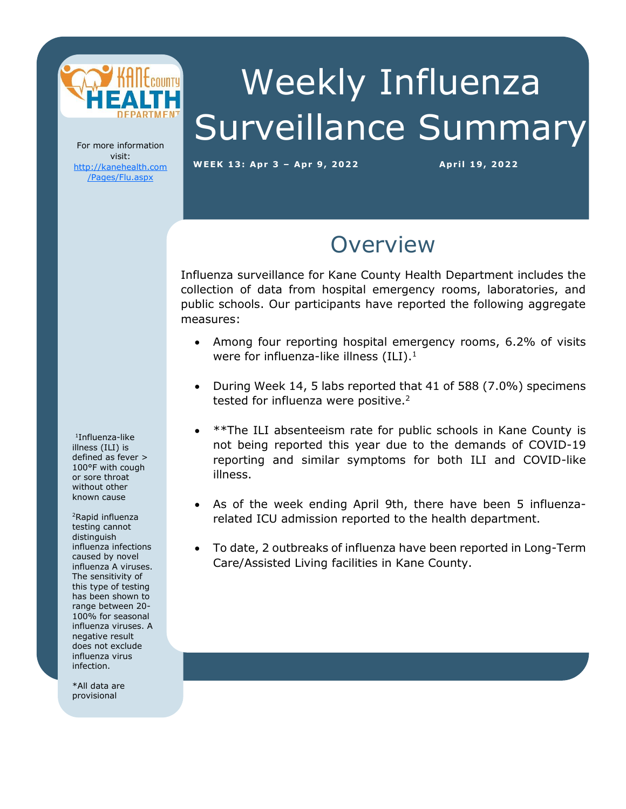

# Weekly Influenza Surveillance Summary

For more information visit: [http://kanehealth.com](http://kanehealth.com/Pages/Flu.aspx) [/Pages/Flu.aspx](http://kanehealth.com/Pages/Flu.aspx)

**WEEK 13: Apr 3 – Apr 9, 2 0 2 2 Apr i l 19, 2 0 22**

data that make this monitoring possible.

### **Overview**

Influenza surveillance for Kane County Health Department includes the collection of data from hospital emergency rooms, laboratories, and public schools. Our participants have reported the following aggregate measures:

- Among four reporting hospital emergency rooms, 6.2% of visits were for influenza-like illness  $(ILI).<sup>1</sup>$
- During Week 14, 5 labs reported that 41 of 588 (7.0%) specimens tested for influenza were positive.<sup>2</sup>
- \*\*The ILI absenteeism rate for public schools in Kane County is not being reported this year due to the demands of COVID-19 reporting and similar symptoms for both ILI and COVID-like illness.
- As of the week ending April 9th, there have been 5 influenzarelated ICU admission reported to the health department.
- To date, 2 outbreaks of influenza have been reported in Long-Term Care/Assisted Living facilities in Kane County.

1 Influenza-like illness (ILI) is defined as fever > 100°F with cough or sore throat without other known cause

<sup>2</sup>Rapid influenza testing cannot distinguish influenza infections caused by novel influenza A viruses. The sensitivity of this type of testing has been shown to range between 20- 100% for seasonal influenza viruses. A negative result does not exclude influenza virus infection.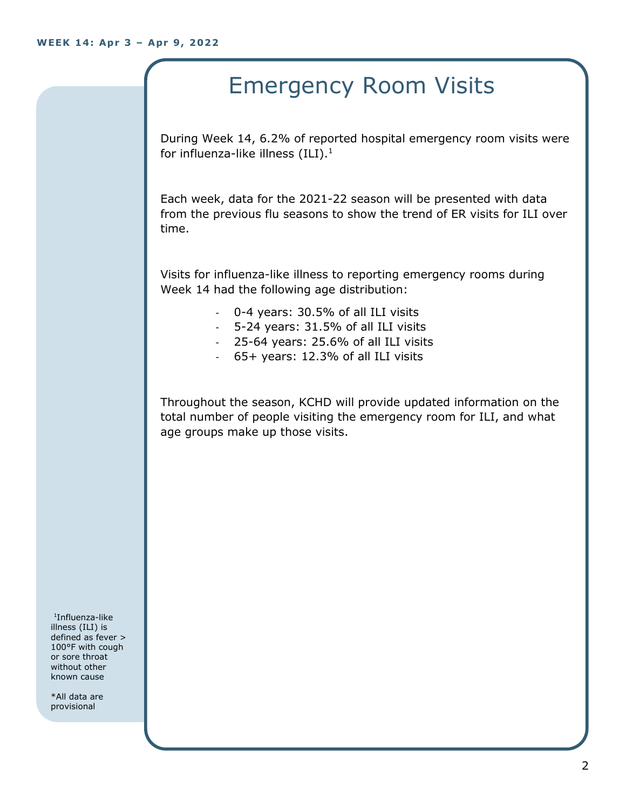## Emergency Room Visits

During Week 14, 6.2% of reported hospital emergency room visits were for influenza-like illness  $(III).<sup>1</sup>$ 

Each week, data for the 2021-22 season will be presented with data from the previous flu seasons to show the trend of ER visits for ILI over time.

Visits for influenza-like illness to reporting emergency rooms during Week 14 had the following age distribution:

- 0-4 years: 30.5% of all ILI visits
- 5-24 years: 31.5% of all ILI visits
- 25-64 years: 25.6% of all ILI visits
- 65+ years: 12.3% of all ILI visits

Throughout the season, KCHD will provide updated information on the total number of people visiting the emergency room for ILI, and what age groups make up those visits.

1 Influenza-like illness (ILI) is defined as fever > 100°F with cough or sore throat without other known cause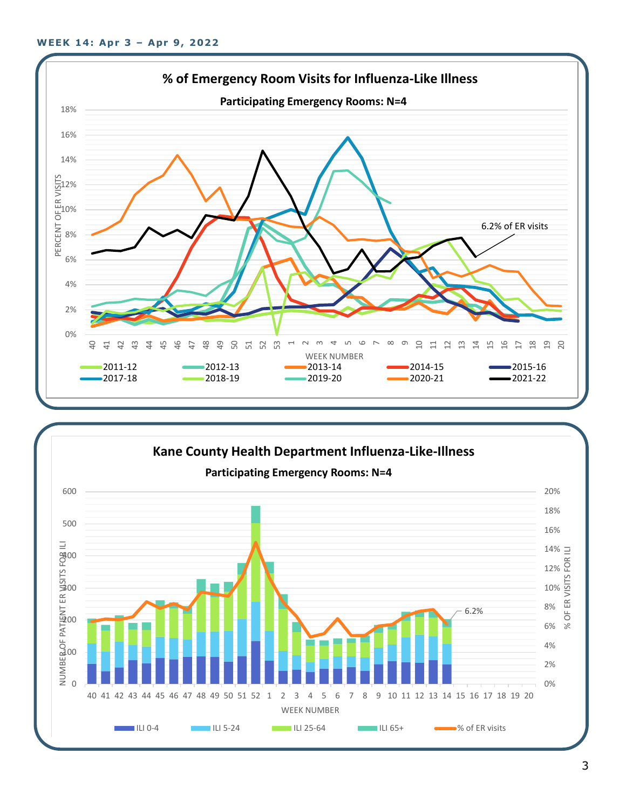

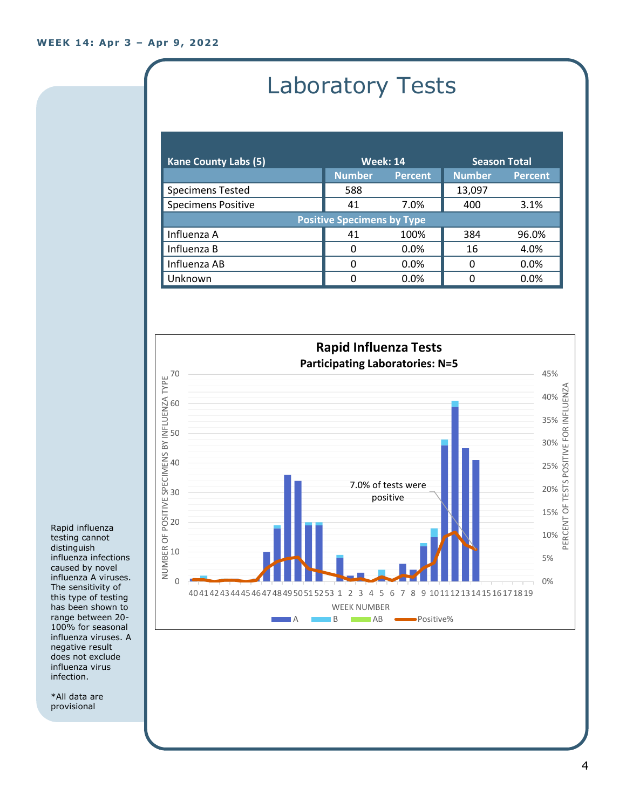# Laboratory Tests

| <b>Kane County Labs (5)</b>       | <b>Week: 14</b> |                | <b>Season Total</b> |                |
|-----------------------------------|-----------------|----------------|---------------------|----------------|
|                                   | <b>Number</b>   | <b>Percent</b> | <b>Number</b>       | <b>Percent</b> |
| <b>Specimens Tested</b>           | 588             |                | 13,097              |                |
| <b>Specimens Positive</b>         | 41              | 7.0%           | 400                 | 3.1%           |
| <b>Positive Specimens by Type</b> |                 |                |                     |                |
| Influenza A                       | 41              | 100%           | 384                 | 96.0%          |
| Influenza B                       | 0               | 0.0%           | 16                  | 4.0%           |
| Influenza AB                      | 0               | 0.0%           | 0                   | 0.0%           |
| Unknown                           | 0               | 0.0%           | n                   | 0.0%           |



Rapid influenza testing cannot distinguish influenza infections caused by novel influenza A viruses. The sensitivity of this type of testing has been shown to range between 20- 100% for seasonal influenza viruses. A negative result does not exclude influenza virus infection.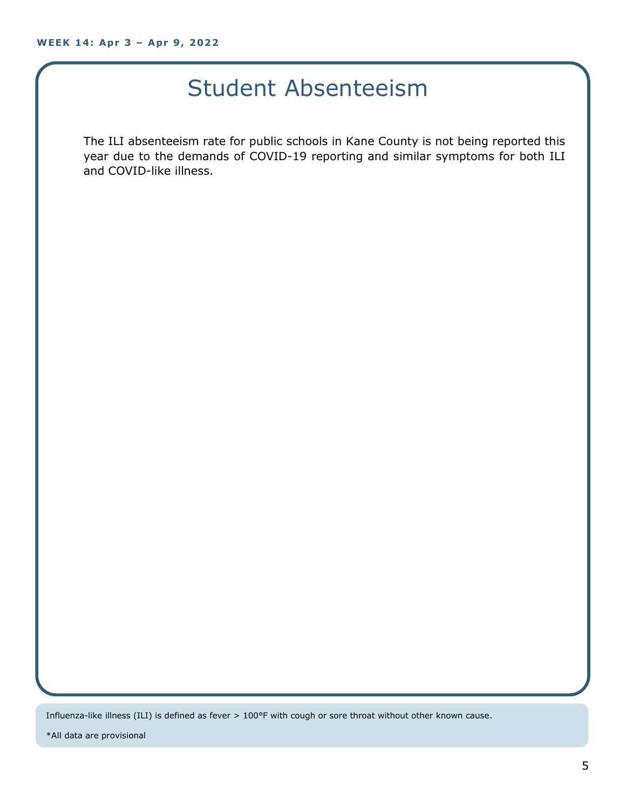### Student Absenteeism

The ILI absenteeism rate for public schools in Kane County is not being reported this year due to the demands of COVID-19 reporting and similar symptoms for both ILI and COVID-like illness.

Influenza-like illness (ILI) is defined as fever > 100°F with cough or sore throat without other known cause.